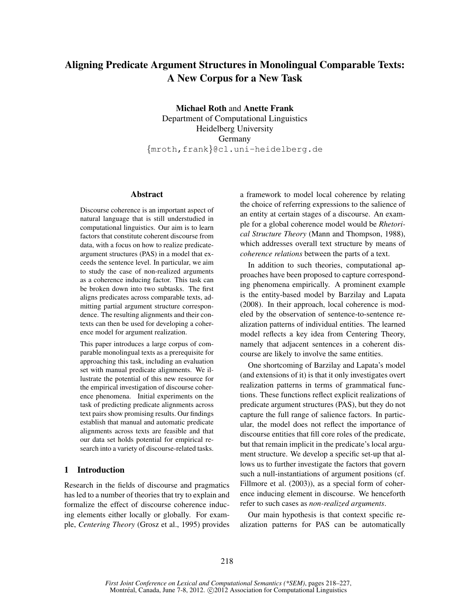# Aligning Predicate Argument Structures in Monolingual Comparable Texts: A New Corpus for a New Task

Michael Roth and Anette Frank Department of Computational Linguistics Heidelberg University Germany {mroth,frank}@cl.uni-heidelberg.de

#### Abstract

Discourse coherence is an important aspect of natural language that is still understudied in computational linguistics. Our aim is to learn factors that constitute coherent discourse from data, with a focus on how to realize predicateargument structures (PAS) in a model that exceeds the sentence level. In particular, we aim to study the case of non-realized arguments as a coherence inducing factor. This task can be broken down into two subtasks. The first aligns predicates across comparable texts, admitting partial argument structure correspondence. The resulting alignments and their contexts can then be used for developing a coherence model for argument realization.

This paper introduces a large corpus of comparable monolingual texts as a prerequisite for approaching this task, including an evaluation set with manual predicate alignments. We illustrate the potential of this new resource for the empirical investigation of discourse coherence phenomena. Initial experiments on the task of predicting predicate alignments across text pairs show promising results. Our findings establish that manual and automatic predicate alignments across texts are feasible and that our data set holds potential for empirical research into a variety of discourse-related tasks.

## 1 Introduction

Research in the fields of discourse and pragmatics has led to a number of theories that try to explain and formalize the effect of discourse coherence inducing elements either locally or globally. For example, *Centering Theory* (Grosz et al., 1995) provides a framework to model local coherence by relating the choice of referring expressions to the salience of an entity at certain stages of a discourse. An example for a global coherence model would be *Rhetorical Structure Theory* (Mann and Thompson, 1988), which addresses overall text structure by means of *coherence relations* between the parts of a text.

In addition to such theories, computational approaches have been proposed to capture corresponding phenomena empirically. A prominent example is the entity-based model by Barzilay and Lapata (2008). In their approach, local coherence is modeled by the observation of sentence-to-sentence realization patterns of individual entities. The learned model reflects a key idea from Centering Theory, namely that adjacent sentences in a coherent discourse are likely to involve the same entities.

One shortcoming of Barzilay and Lapata's model (and extensions of it) is that it only investigates overt realization patterns in terms of grammatical functions. These functions reflect explicit realizations of predicate argument structures (PAS), but they do not capture the full range of salience factors. In particular, the model does not reflect the importance of discourse entities that fill core roles of the predicate, but that remain implicit in the predicate's local argument structure. We develop a specific set-up that allows us to further investigate the factors that govern such a null-instantiations of argument positions (cf. Fillmore et al. (2003)), as a special form of coherence inducing element in discourse. We henceforth refer to such cases as *non-realized arguments*.

Our main hypothesis is that context specific realization patterns for PAS can be automatically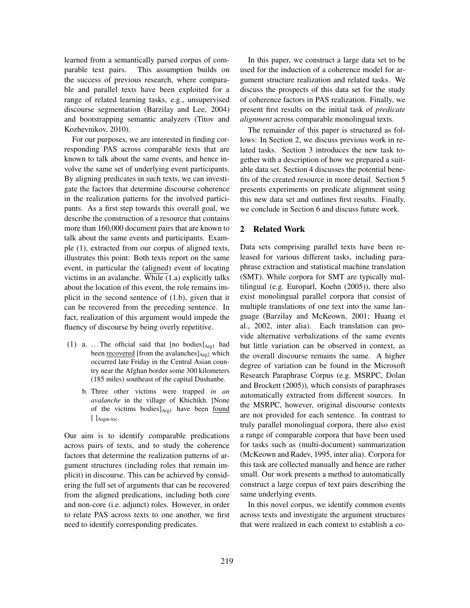learned from a semantically parsed corpus of comparable text pairs. This assumption builds on the success of previous research, where comparable and parallel texts have been exploited for a range of related learning tasks, e.g., unsupervised discourse segmentation (Barzilay and Lee, 2004) and bootstrapping semantic analyzers (Titov and Kozhevnikov, 2010).

For our purposes, we are interested in finding corresponding PAS across comparable texts that are known to talk about the same events, and hence involve the same set of underlying event participants. By aligning predicates in such texts, we can investigate the factors that determine discourse coherence in the realization patterns for the involved participants. As a first step towards this overall goal, we describe the construction of a resource that contains more than 160,000 document pairs that are known to talk about the same events and participants. Example (1), extracted from our corpus of aligned texts, illustrates this point: Both texts report on the same event, in particular the (aligned) event of locating victims in an avalanche. While (1.a) explicitly talks about the location of this event, the role remains implicit in the second sentence of (1.b), given that it can be recovered from the preceding sentence. In fact, realization of this argument would impede the fluency of discourse by being overly repetitive.

- (1) a. ... The official said that  $[no<sub>1</sub> bodies]<sub>Arg1</sub> had$ been recovered [from the avalanches] $_{\text{Arg2}}$  which occurred late Friday in the Central Asian country near the Afghan border some 300 kilometers (185 miles) southeast of the capital Dushanbe.
	- b. Three other victims were trapped *in an avalanche* in the village of Khichikh. [None of the victims bodies]<sub>Arg1</sub> have been found  $[$   $]$  Argm-loc $\cdot$

Our aim is to identify comparable predications across pairs of texts, and to study the coherence factors that determine the realization patterns of argument structures (including roles that remain implicit) in discourse. This can be achieved by considering the full set of arguments that can be recovered from the aligned predications, including both core and non-core (i.e. adjunct) roles. However, in order to relate PAS across texts to one another, we first need to identify corresponding predicates.

In this paper, we construct a large data set to be used for the induction of a coherence model for argument structure realization and related tasks. We discuss the prospects of this data set for the study of coherence factors in PAS realization. Finally, we present first results on the initial task of *predicate alignment* across comparable monolingual texts.

The remainder of this paper is structured as follows: In Section 2, we discuss previous work in related tasks. Section 3 introduces the new task together with a description of how we prepared a suitable data set. Section 4 discusses the potential benefits of the created resource in more detail. Section 5 presents experiments on predicate alignment using this new data set and outlines first results. Finally, we conclude in Section 6 and discuss future work.

## 2 Related Work

Data sets comprising parallel texts have been released for various different tasks, including paraphrase extraction and statistical machine translation (SMT). While corpora for SMT are typically multilingual (e.g. Europarl, Koehn (2005)), there also exist monolingual parallel corpora that consist of multiple translations of one text into the same language (Barzilay and McKeown, 2001; Huang et al., 2002, inter alia). Each translation can provide alternative verbalizations of the same events but little variation can be observed in context, as the overall discourse remains the same. A higher degree of variation can be found in the Microsoft Research Paraphrase Corpus (e.g. MSRPC, Dolan and Brockett (2005)), which consists of paraphrases automatically extracted from different sources. In the MSRPC, however, original discourse contexts are not provided for each sentence. In contrast to truly parallel monolingual corpora, there also exist a range of comparable corpora that have been used for tasks such as (multi-document) summarization (McKeown and Radev, 1995, inter alia). Corpora for this task are collected manually and hence are rather small. Our work presents a method to automatically construct a large corpus of text pairs describing the same underlying events.

In this novel corpus, we identify common events across texts and investigate the argument structures that were realized in each context to establish a co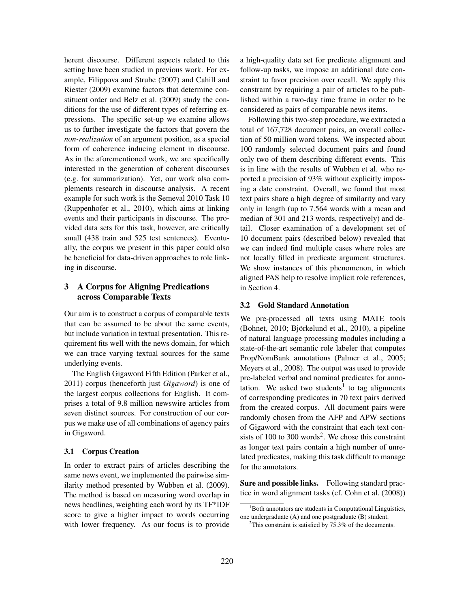herent discourse. Different aspects related to this setting have been studied in previous work. For example, Filippova and Strube (2007) and Cahill and Riester (2009) examine factors that determine constituent order and Belz et al. (2009) study the conditions for the use of different types of referring expressions. The specific set-up we examine allows us to further investigate the factors that govern the *non-realization* of an argument position, as a special form of coherence inducing element in discourse. As in the aforementioned work, we are specifically interested in the generation of coherent discourses (e.g. for summarization). Yet, our work also complements research in discourse analysis. A recent example for such work is the Semeval 2010 Task 10 (Ruppenhofer et al., 2010), which aims at linking events and their participants in discourse. The provided data sets for this task, however, are critically small (438 train and 525 test sentences). Eventually, the corpus we present in this paper could also be beneficial for data-driven approaches to role linking in discourse.

# 3 A Corpus for Aligning Predications across Comparable Texts

Our aim is to construct a corpus of comparable texts that can be assumed to be about the same events, but include variation in textual presentation. This requirement fits well with the news domain, for which we can trace varying textual sources for the same underlying events.

The English Gigaword Fifth Edition (Parker et al., 2011) corpus (henceforth just *Gigaword*) is one of the largest corpus collections for English. It comprises a total of 9.8 million newswire articles from seven distinct sources. For construction of our corpus we make use of all combinations of agency pairs in Gigaword.

### 3.1 Corpus Creation

In order to extract pairs of articles describing the same news event, we implemented the pairwise similarity method presented by Wubben et al. (2009). The method is based on measuring word overlap in news headlines, weighting each word by its TF\*IDF score to give a higher impact to words occurring with lower frequency. As our focus is to provide

a high-quality data set for predicate alignment and follow-up tasks, we impose an additional date constraint to favor precision over recall. We apply this constraint by requiring a pair of articles to be published within a two-day time frame in order to be considered as pairs of comparable news items.

Following this two-step procedure, we extracted a total of 167,728 document pairs, an overall collection of 50 million word tokens. We inspected about 100 randomly selected document pairs and found only two of them describing different events. This is in line with the results of Wubben et al. who reported a precision of 93% without explicitly imposing a date constraint. Overall, we found that most text pairs share a high degree of similarity and vary only in length (up to 7.564 words with a mean and median of 301 and 213 words, respectively) and detail. Closer examination of a development set of 10 document pairs (described below) revealed that we can indeed find multiple cases where roles are not locally filled in predicate argument structures. We show instances of this phenomenon, in which aligned PAS help to resolve implicit role references, in Section 4.

#### 3.2 Gold Standard Annotation

We pre-processed all texts using MATE tools (Bohnet, 2010; Björkelund et al., 2010), a pipeline of natural language processing modules including a state-of-the-art semantic role labeler that computes Prop/NomBank annotations (Palmer et al., 2005; Meyers et al., 2008). The output was used to provide pre-labeled verbal and nominal predicates for annotation. We asked two students<sup>1</sup> to tag alignments of corresponding predicates in 70 text pairs derived from the created corpus. All document pairs were randomly chosen from the AFP and APW sections of Gigaword with the constraint that each text consists of 100 to 300 words<sup>2</sup>. We chose this constraint as longer text pairs contain a high number of unrelated predicates, making this task difficult to manage for the annotators.

Sure and possible links. Following standard practice in word alignment tasks (cf. Cohn et al. (2008))

<sup>&</sup>lt;sup>1</sup>Both annotators are students in Computational Linguistics, one undergraduate (A) and one postgraduate (B) student.

<sup>&</sup>lt;sup>2</sup>This constraint is satisfied by  $75.3\%$  of the documents.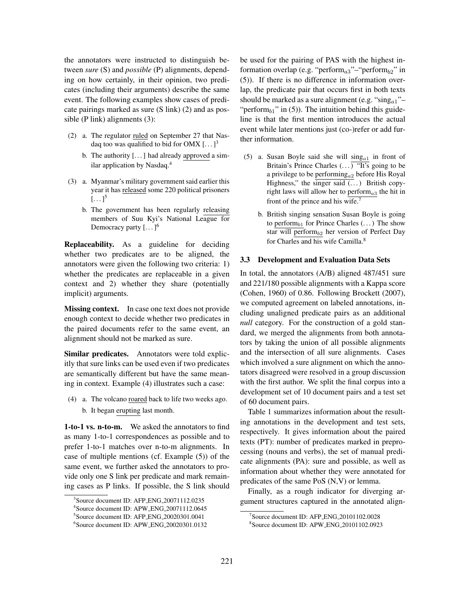the annotators were instructed to distinguish between *sure* (S) and *possible* (P) alignments, depending on how certainly, in their opinion, two predicates (including their arguments) describe the same event. The following examples show cases of predicate pairings marked as sure (S link) (2) and as possible (P link) alignments (3):

- (2) a. The regulator ruled on September 27 that Nasdaq too was qualified to bid for OMX  $[...]^3$ 
	- b. The authority  $[...]$  had already approved a similar application by Nasdaq.<sup>4</sup>
- (3) a. Myanmar's military government said earlier this year it has released some 220 political prisoners  $[\dots]^5$ 
	- b. The government has been regularly releasing members of Suu Kyi's National League for Democracy party  $[...]$ <sup>6</sup>

Replaceability. As a guideline for deciding whether two predicates are to be aligned, the annotators were given the following two criteria: 1) whether the predicates are replaceable in a given context and 2) whether they share (potentially implicit) arguments.

Missing context. In case one text does not provide enough context to decide whether two predicates in the paired documents refer to the same event, an alignment should not be marked as sure.

Similar predicates. Annotators were told explicitly that sure links can be used even if two predicates are semantically different but have the same meaning in context. Example (4) illustrates such a case:

(4) a. The volcano roared back to life two weeks ago. b. It began erupting last month.

1-to-1 vs. n-to-m. We asked the annotators to find as many 1-to-1 correspondences as possible and to prefer 1-to-1 matches over n-to-m alignments. In case of multiple mentions (cf. Example (5)) of the same event, we further asked the annotators to provide only one S link per predicate and mark remaining cases as P links. If possible, the S link should be used for the pairing of PAS with the highest information overlap (e.g. "perform $_{a3}$ "–"perform $_{b2}$ " in (5)). If there is no difference in information overlap, the predicate pair that occurs first in both texts should be marked as a sure alignment (e.g. "sing $a_1$ "-"perform $_{b1}$ " in (5)). The intuition behind this guideline is that the first mention introduces the actual event while later mentions just (co-)refer or add further information.

- (5) a. Susan Boyle said she will  $\text{sing}_{a1}$  in front of Britain's Prince Charles  $(\ldots)$  "It's going to be a privilege to be performing $_{a2}$  before His Royal Highness," the singer said  $(\dots)$  British copyright laws will allow her to perform $_{a3}$  the hit in front of the prince and his wife.<sup>7</sup>
	- b. British singing sensation Susan Boyle is going to perform $_{b1}$  for Prince Charles  $(\dots)$  The show star will perform $_{b2}$  her version of Perfect Day for Charles and his wife Camilla.<sup>8</sup>

#### 3.3 Development and Evaluation Data Sets

In total, the annotators (A/B) aligned 487/451 sure and 221/180 possible alignments with a Kappa score (Cohen, 1960) of 0.86. Following Brockett (2007), we computed agreement on labeled annotations, including unaligned predicate pairs as an additional *null* category. For the construction of a gold standard, we merged the alignments from both annotators by taking the union of all possible alignments and the intersection of all sure alignments. Cases which involved a sure alignment on which the annotators disagreed were resolved in a group discussion with the first author. We split the final corpus into a development set of 10 document pairs and a test set of 60 document pairs.

Table 1 summarizes information about the resulting annotations in the development and test sets, respectively. It gives information about the paired texts (PT): number of predicates marked in preprocessing (nouns and verbs), the set of manual predicate alignments (PA): sure and possible, as well as information about whether they were annotated for predicates of the same PoS (N,V) or lemma.

Finally, as a rough indicator for diverging argument structures captured in the annotated align-

<sup>&</sup>lt;sup>3</sup>Source document ID: AFP\_ENG\_20071112.0235

<sup>4</sup>Source document ID: APW ENG 20071112.0645

<sup>&</sup>lt;sup>5</sup>Source document ID: AFP\_ENG\_20020301.0041

<sup>6</sup>Source document ID: APW ENG 20020301.0132

<sup>&</sup>lt;sup>7</sup>Source document ID: AFP\_ENG\_20101102.0028

<sup>8</sup>Source document ID: APW ENG 20101102.0923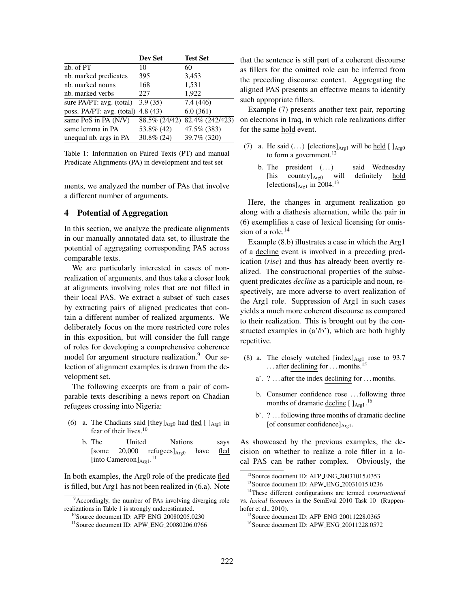| Dev Set                              | <b>Test Set</b> |
|--------------------------------------|-----------------|
| 10                                   | 60              |
| 395                                  | 3,453           |
| 168                                  | 1,531           |
| 227                                  | 1,922           |
| 3.9(35)                              | 7.4(446)        |
| poss. PA/PT: avg. (total)<br>4.8(43) | 6.0(361)        |
| 88.5% (24/42)                        | 82.4% (242/423) |
| 53.8% (42)                           | 47.5% (383)     |
| $30.8\%$ (24)                        | 39.7% (320)     |
|                                      |                 |

Table 1: Information on Paired Texts (PT) and manual Predicate Alignments (PA) in development and test set

ments, we analyzed the number of PAs that involve a different number of arguments.

# 4 Potential of Aggregation

In this section, we analyze the predicate alignments in our manually annotated data set, to illustrate the potential of aggregating corresponding PAS across comparable texts.

We are particularly interested in cases of nonrealization of arguments, and thus take a closer look at alignments involving roles that are not filled in their local PAS. We extract a subset of such cases by extracting pairs of aligned predicates that contain a different number of realized arguments. We deliberately focus on the more restricted core roles in this exposition, but will consider the full range of roles for developing a comprehensive coherence model for argument structure realization.<sup>9</sup> Our selection of alignment examples is drawn from the development set.

The following excerpts are from a pair of comparable texts describing a news report on Chadian refugees crossing into Nigeria:

- (6) a. The Chadians said [they] $_{\text{Arg0}}$  had fled [ ] $_{\text{Arg1}}$  in fear of their lives.<sup>10</sup>
	- b. The United Nations says [some  $20,000$  refugees] $_{\text{Arg}}$  have fled [into Cameroon]<sub>Arg1</sub>.<sup>11</sup>

In both examples, the Arg0 role of the predicate fled is filled, but Arg1 has not been realized in (6.a). Note that the sentence is still part of a coherent discourse as fillers for the omitted role can be inferred from the preceding discourse context. Aggregating the aligned PAS presents an effective means to identify such appropriate fillers.

Example (7) presents another text pair, reporting on elections in Iraq, in which role realizations differ for the same hold event.

- (7) a. He said  $(\dots)$  [elections] $_{\text{Arg1}}$  will be held [ ] $_{\text{Arg0}}$ to form a government.<sup>12</sup>
	- b. The president (...) said Wednesday [his country]<sub>Arg0</sub> will definitely hold [elections] $_{\text{Arg1}}$  in 2004.<sup>13</sup>

Here, the changes in argument realization go along with a diathesis alternation, while the pair in (6) exemplifies a case of lexical licensing for omission of a role. $14$ 

Example (8.b) illustrates a case in which the Arg1 of a decline event is involved in a preceding predication (*rise*) and thus has already been overtly realized. The constructional properties of the subsequent predicates *decline* as a participle and noun, respectively, are more adverse to overt realization of the Arg1 role. Suppression of Arg1 in such cases yields a much more coherent discourse as compared to their realization. This is brought out by the constructed examples in (a'/b'), which are both highly repetitive.

- (8) a. The closely watched [index] $_{Arg1}$  rose to 93.7 ... after declining for ... months.<sup>15</sup>
	- a'. ? . . . after the index declining for . . . months.
	- b. Consumer confidence rose . . . following three months of dramatic <u>decline</u> [ ]<sub>Arg1</sub>.<sup>16</sup>
	- b'. ? ... following three months of dramatic decline [of consumer confidence] $_{\text{Arg1}}$ .

As showcased by the previous examples, the decision on whether to realize a role filler in a local PAS can be rather complex. Obviously, the

<sup>&</sup>lt;sup>9</sup>Accordingly, the number of PAs involving diverging role realizations in Table 1 is strongly underestimated.

<sup>&</sup>lt;sup>10</sup>Source document ID: AFP\_ENG\_20080205.0230

<sup>&</sup>lt;sup>11</sup>Source document ID: APW\_ENG\_20080206.0766

<sup>&</sup>lt;sup>12</sup> Source document ID: AFP\_ENG\_20031015.0353

<sup>13</sup>Source document ID: APW ENG 20031015.0236

<sup>14</sup>These different configurations are termed *constructional* vs. *lexical licensors* in the SemEval 2010 Task 10 (Ruppenhofer et al., 2010).

<sup>&</sup>lt;sup>15</sup> Source document ID: AFP\_ENG\_20011228.0365

<sup>16</sup>Source document ID: APW ENG 20011228.0572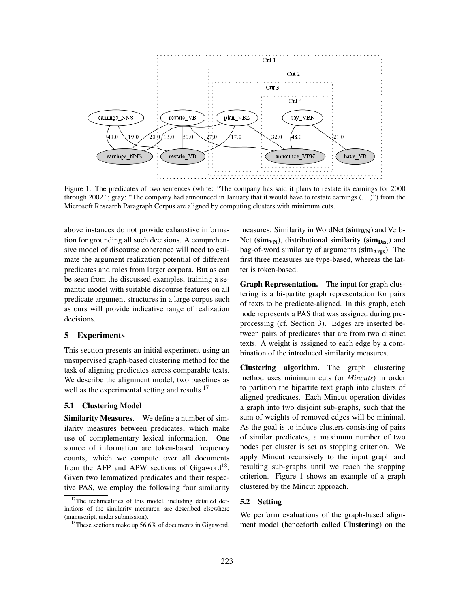

Figure 1: The predicates of two sentences (white: "The company has said it plans to restate its earnings for 2000 through 2002."; gray: "The company had announced in January that it would have to restate earnings (. . . )") from the Microsoft Research Paragraph Corpus are aligned by computing clusters with minimum cuts.

above instances do not provide exhaustive information for grounding all such decisions. A comprehensive model of discourse coherence will need to estimate the argument realization potential of different predicates and roles from larger corpora. But as can be seen from the discussed examples, training a semantic model with suitable discourse features on all predicate argument structures in a large corpus such as ours will provide indicative range of realization decisions.

# 5 Experiments

This section presents an initial experiment using an unsupervised graph-based clustering method for the task of aligning predicates across comparable texts. We describe the alignment model, two baselines as well as the experimental setting and results.<sup>17</sup>

# 5.1 Clustering Model

Similarity Measures. We define a number of similarity measures between predicates, which make use of complementary lexical information. One source of information are token-based frequency counts, which we compute over all documents from the AFP and APW sections of Gigaword<sup>18</sup>. Given two lemmatized predicates and their respective PAS, we employ the following four similarity

measures: Similarity in WordNet  $(\text{sim}_{WN})$  and Verb-Net ( $\text{sim}_{VN}$ ), distributional similarity ( $\text{sim}_{Dist}$ ) and bag-of-word similarity of arguments  $(\text{sim}_{\text{A} \text{rgs}})$ . The first three measures are type-based, whereas the latter is token-based.

Graph Representation. The input for graph clustering is a bi-partite graph representation for pairs of texts to be predicate-aligned. In this graph, each node represents a PAS that was assigned during preprocessing (cf. Section 3). Edges are inserted between pairs of predicates that are from two distinct texts. A weight is assigned to each edge by a combination of the introduced similarity measures.

Clustering algorithm. The graph clustering method uses minimum cuts (or *Mincuts*) in order to partition the bipartite text graph into clusters of aligned predicates. Each Mincut operation divides a graph into two disjoint sub-graphs, such that the sum of weights of removed edges will be minimal. As the goal is to induce clusters consisting of pairs of similar predicates, a maximum number of two nodes per cluster is set as stopping criterion. We apply Mincut recursively to the input graph and resulting sub-graphs until we reach the stopping criterion. Figure 1 shows an example of a graph clustered by the Mincut approach.

## 5.2 Setting

We perform evaluations of the graph-based alignment model (henceforth called Clustering) on the

<sup>&</sup>lt;sup>17</sup>The technicalities of this model, including detailed definitions of the similarity measures, are described elsewhere (manuscript, under submission).

<sup>&</sup>lt;sup>18</sup>These sections make up 56.6% of documents in Gigaword.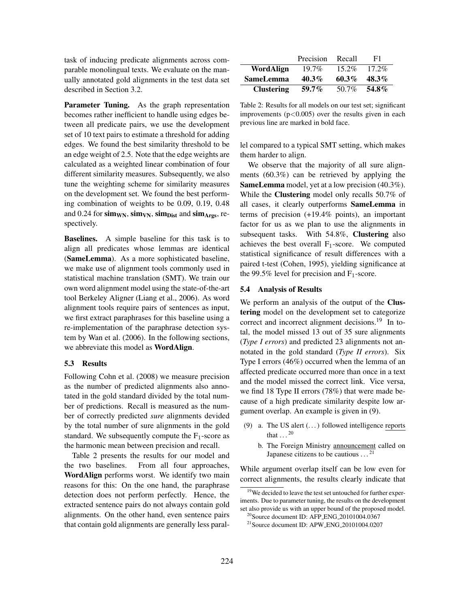task of inducing predicate alignments across comparable monolingual texts. We evaluate on the manually annotated gold alignments in the test data set described in Section 3.2.

Parameter Tuning. As the graph representation becomes rather inefficient to handle using edges between all predicate pairs, we use the development set of 10 text pairs to estimate a threshold for adding edges. We found the best similarity threshold to be an edge weight of 2.5. Note that the edge weights are calculated as a weighted linear combination of four different similarity measures. Subsequently, we also tune the weighting scheme for similarity measures on the development set. We found the best performing combination of weights to be 0.09, 0.19, 0.48 and 0.24 for sim<sub>WN</sub>, sim<sub>VN</sub>, sim<sub>Dist</sub> and sim<sub>Args</sub>, respectively.

Baselines. A simple baseline for this task is to align all predicates whose lemmas are identical (SameLemma). As a more sophisticated baseline, we make use of alignment tools commonly used in statistical machine translation (SMT). We train our own word alignment model using the state-of-the-art tool Berkeley Aligner (Liang et al., 2006). As word alignment tools require pairs of sentences as input, we first extract paraphrases for this baseline using a re-implementation of the paraphrase detection system by Wan et al. (2006). In the following sections, we abbreviate this model as WordAlign.

# 5.3 Results

Following Cohn et al. (2008) we measure precision as the number of predicted alignments also annotated in the gold standard divided by the total number of predictions. Recall is measured as the number of correctly predicted *sure* alignments devided by the total number of sure alignments in the gold standard. We subsequently compute the  $F_1$ -score as the harmonic mean between precision and recall.

Table 2 presents the results for our model and the two baselines. From all four approaches, WordAlign performs worst. We identify two main reasons for this: On the one hand, the paraphrase detection does not perform perfectly. Hence, the extracted sentence pairs do not always contain gold alignments. On the other hand, even sentence pairs that contain gold alignments are generally less paral-

|                   | Precision | Recall   | F1       |
|-------------------|-----------|----------|----------|
| WordAlign         | $19.7\%$  | $15.2\%$ | $17.2\%$ |
| <b>SameLemma</b>  | $40.3\%$  | 60.3%    | $48.3\%$ |
| <b>Clustering</b> | $59.7\%$  | 50.7%    | 54.8%    |

Table 2: Results for all models on our test set; significant improvements  $(p<0.005)$  over the results given in each previous line are marked in bold face.

lel compared to a typical SMT setting, which makes them harder to align.

We observe that the majority of all sure alignments (60.3%) can be retrieved by applying the SameLemma model, yet at a low precision (40.3%). While the **Clustering** model only recalls 50.7% of all cases, it clearly outperforms SameLemma in terms of precision (+19.4% points), an important factor for us as we plan to use the alignments in subsequent tasks. With 54.8%, Clustering also achieves the best overall  $F_1$ -score. We computed statistical significance of result differences with a paired t-test (Cohen, 1995), yielding significance at the 99.5% level for precision and  $F_1$ -score.

#### 5.4 Analysis of Results

We perform an analysis of the output of the **Clus**tering model on the development set to categorize correct and incorrect alignment decisions.<sup>19</sup> In total, the model missed 13 out of 35 sure alignments (*Type I errors*) and predicted 23 alignments not annotated in the gold standard (*Type II errors*). Six Type I errors (46%) occurred when the lemma of an affected predicate occurred more than once in a text and the model missed the correct link. Vice versa, we find 18 Type II errors (78%) that were made because of a high predicate similarity despite low argument overlap. An example is given in (9).

- (9) a. The US alert  $(\dots)$  followed intelligence reports that  $\ldots^{20}$ 
	- b. The Foreign Ministry announcement called on Japanese citizens to be cautious  $\dots$ <sup>21</sup>

While argument overlap itself can be low even for correct alignments, the results clearly indicate that

<sup>&</sup>lt;sup>19</sup>We decided to leave the test set untouched for further experiments. Due to parameter tuning, the results on the development set also provide us with an upper bound of the proposed model.  $^{20}$ Source document ID: AFP ENG 20101004.0367

<sup>&</sup>lt;sup>21</sup> Source document ID: APW\_ENG\_20101004.0207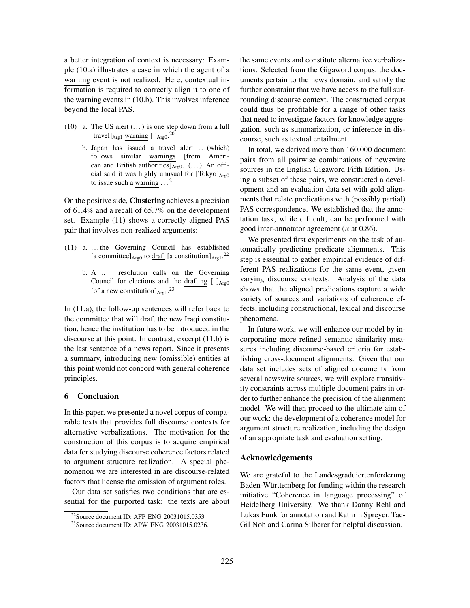a better integration of context is necessary: Example (10.a) illustrates a case in which the agent of a warning event is not realized. Here, contextual information is required to correctly align it to one of the warning events in (10.b). This involves inference beyond the local PAS.

- (10) a. The US alert  $(\dots)$  is one step down from a full [travel] $_{\text{Arg1}}$  warning [ ] $_{\text{Arg0}}$ .<sup>20</sup>
	- b. Japan has issued a travel alert . . . (which) follows similar warnings [from American and British authorities] $\overline{A_{rg0}}$ . (...) An official said it was highly unusual for  $[Tokyo]_{Arg0}$ to issue such a warning  $\dots$ <sup>21</sup>

On the positive side, Clustering achieves a precision of 61.4% and a recall of 65.7% on the development set. Example (11) shows a correctly aligned PAS pair that involves non-realized arguments:

- (11) a. . . . the Governing Council has established [a committee] $_{\text{Arg0}}$  to draft [a constitution] $_{\text{Arg1}}$ .<sup>22</sup>
	- b. A .. resolution calls on the Governing Council for elections and the drafting  $\int_{Arg0}$ [of a new constitution] $_{\text{Arg1}}$ .<sup>23</sup>

In (11.a), the follow-up sentences will refer back to the committee that will draft the new Iraqi constitution, hence the institution has to be introduced in the discourse at this point. In contrast, excerpt (11.b) is the last sentence of a news report. Since it presents a summary, introducing new (omissible) entities at this point would not concord with general coherence principles.

## 6 Conclusion

In this paper, we presented a novel corpus of comparable texts that provides full discourse contexts for alternative verbalizations. The motivation for the construction of this corpus is to acquire empirical data for studying discourse coherence factors related to argument structure realization. A special phenomenon we are interested in are discourse-related factors that license the omission of argument roles.

Our data set satisfies two conditions that are essential for the purported task: the texts are about the same events and constitute alternative verbalizations. Selected from the Gigaword corpus, the documents pertain to the news domain, and satisfy the further constraint that we have access to the full surrounding discourse context. The constructed corpus could thus be profitable for a range of other tasks that need to investigate factors for knowledge aggregation, such as summarization, or inference in discourse, such as textual entailment.

In total, we derived more than 160,000 document pairs from all pairwise combinations of newswire sources in the English Gigaword Fifth Edition. Using a subset of these pairs, we constructed a development and an evaluation data set with gold alignments that relate predications with (possibly partial) PAS correspondence. We established that the annotation task, while difficult, can be performed with good inter-annotator agreement ( $\kappa$  at 0.86).

We presented first experiments on the task of automatically predicting predicate alignments. This step is essential to gather empirical evidence of different PAS realizations for the same event, given varying discourse contexts. Analysis of the data shows that the aligned predications capture a wide variety of sources and variations of coherence effects, including constructional, lexical and discourse phenomena.

In future work, we will enhance our model by incorporating more refined semantic similarity measures including discourse-based criteria for establishing cross-document alignments. Given that our data set includes sets of aligned documents from several newswire sources, we will explore transitivity constraints across multiple document pairs in order to further enhance the precision of the alignment model. We will then proceed to the ultimate aim of our work: the development of a coherence model for argument structure realization, including the design of an appropriate task and evaluation setting.

#### Acknowledgements

We are grateful to the Landesgraduiertenförderung Baden-Württemberg for funding within the research initiative "Coherence in language processing" of Heidelberg University. We thank Danny Rehl and Lukas Funk for annotation and Kathrin Spreyer, Tae-Gil Noh and Carina Silberer for helpful discussion.

 $22$ Source document ID: AFP\_ENG\_20031015.0353

<sup>23</sup>Source document ID: APW ENG 20031015.0236.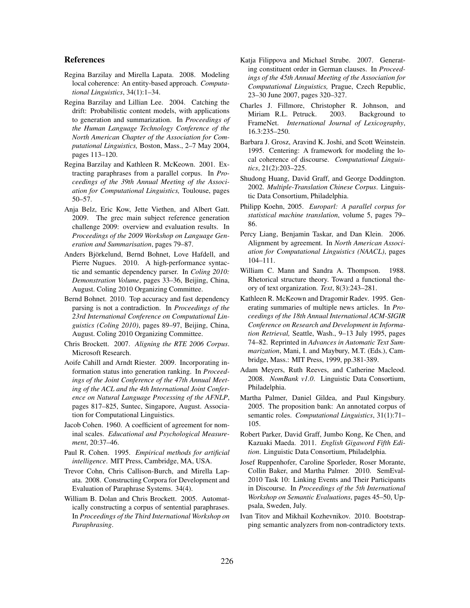## References

- Regina Barzilay and Mirella Lapata. 2008. Modeling local coherence: An entity-based approach. *Computational Linguistics*, 34(1):1–34.
- Regina Barzilay and Lillian Lee. 2004. Catching the drift: Probabilistic content models, with applications to generation and summarization. In *Proceedings of the Human Language Technology Conference of the North American Chapter of the Association for Computational Linguistics,* Boston, Mass., 2–7 May 2004, pages 113–120.
- Regina Barzilay and Kathleen R. McKeown. 2001. Extracting paraphrases from a parallel corpus. In *Proceedings of the 39th Annual Meeting of the Association for Computational Linguistics,* Toulouse, pages 50–57.
- Anja Belz, Eric Kow, Jette Viethen, and Albert Gatt. 2009. The grec main subject reference generation challenge 2009: overview and evaluation results. In *Proceedings of the 2009 Workshop on Language Generation and Summarisation*, pages 79–87.
- Anders Björkelund, Bernd Bohnet, Love Hafdell, and Pierre Nugues. 2010. A high-performance syntactic and semantic dependency parser. In *Coling 2010: Demonstration Volume*, pages 33–36, Beijing, China, August. Coling 2010 Organizing Committee.
- Bernd Bohnet. 2010. Top accuracy and fast dependency parsing is not a contradiction. In *Proceedings of the 23rd International Conference on Computational Linguistics (Coling 2010)*, pages 89–97, Beijing, China, August. Coling 2010 Organizing Committee.
- Chris Brockett. 2007. *Aligning the RTE 2006 Corpus*. Microsoft Research.
- Aoife Cahill and Arndt Riester. 2009. Incorporating information status into generation ranking. In *Proceedings of the Joint Conference of the 47th Annual Meeting of the ACL and the 4th International Joint Conference on Natural Language Processing of the AFNLP*, pages 817–825, Suntec, Singapore, August. Association for Computational Linguistics.
- Jacob Cohen. 1960. A coefficient of agreement for nominal scales. *Educational and Psychological Measurement*, 20:37–46.
- Paul R. Cohen. 1995. *Empirical methods for artificial intelligence*. MIT Press, Cambridge, MA, USA.
- Trevor Cohn, Chris Callison-Burch, and Mirella Lapata. 2008. Constructing Corpora for Development and Evaluation of Paraphrase Systems. 34(4).
- William B. Dolan and Chris Brockett. 2005. Automatically constructing a corpus of sentential paraphrases. In *Proceedings of the Third International Workshop on Paraphrasing*.
- Katja Filippova and Michael Strube. 2007. Generating constituent order in German clauses. In *Proceedings of the 45th Annual Meeting of the Association for Computational Linguistics,* Prague, Czech Republic, 23–30 June 2007, pages 320–327.
- Charles J. Fillmore, Christopher R. Johnson, and Miriam R.L. Petruck. 2003. Background to FrameNet. *International Journal of Lexicography*, 16.3:235–250.
- Barbara J. Grosz, Aravind K. Joshi, and Scott Weinstein. 1995. Centering: A framework for modeling the local coherence of discourse. *Computational Linguistics*, 21(2):203–225.
- Shudong Huang, David Graff, and George Doddington. 2002. *Multiple-Translation Chinese Corpus*. Linguistic Data Consortium, Philadelphia.
- Philipp Koehn, 2005. *Europarl: A parallel corpus for statistical machine translation*, volume 5, pages 79– 86.
- Percy Liang, Benjamin Taskar, and Dan Klein. 2006. Alignment by agreement. In *North American Association for Computational Linguistics (NAACL)*, pages 104–111.
- William C. Mann and Sandra A. Thompson. 1988. Rhetorical structure theory. Toward a functional theory of text organization. *Text*, 8(3):243–281.
- Kathleen R. McKeown and Dragomir Radev. 1995. Generating summaries of multiple news articles. In *Proceedings of the 18th Annual International ACM-SIGIR Conference on Research and Development in Information Retrieval,* Seattle, Wash., 9–13 July 1995, pages 74–82. Reprinted in *Advances in Automatic Text Summarization*, Mani, I. and Maybury, M.T. (Eds.), Cambridge, Mass.: MIT Press, 1999, pp.381-389.
- Adam Meyers, Ruth Reeves, and Catherine Macleod. 2008. *NomBank v1.0*. Linguistic Data Consortium, Philadelphia.
- Martha Palmer, Daniel Gildea, and Paul Kingsbury. 2005. The proposition bank: An annotated corpus of semantic roles. *Computational Linguistics*, 31(1):71– 105.
- Robert Parker, David Graff, Jumbo Kong, Ke Chen, and Kazuaki Maeda. 2011. *English Gigaword Fifth Edition*. Linguistic Data Consortium, Philadelphia.
- Josef Ruppenhofer, Caroline Sporleder, Roser Morante, Collin Baker, and Martha Palmer. 2010. SemEval-2010 Task 10: Linking Events and Their Participants in Discourse. In *Proceedings of the 5th International Workshop on Semantic Evaluations*, pages 45–50, Uppsala, Sweden, July.
- Ivan Titov and Mikhail Kozhevnikov. 2010. Bootstrapping semantic analyzers from non-contradictory texts.